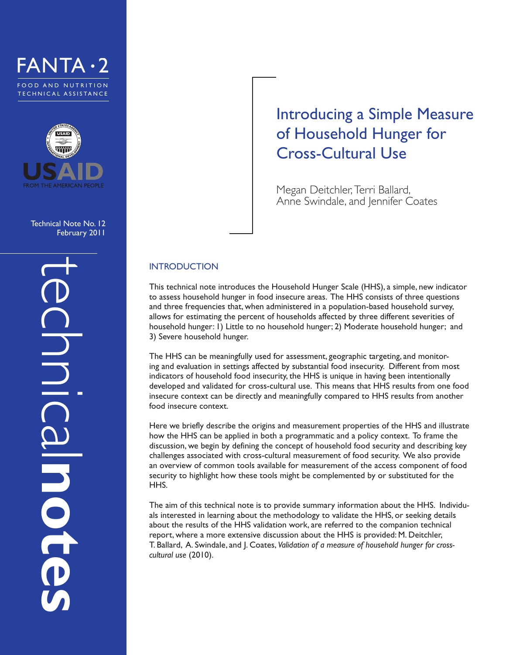



Technical Note No. 12 February 2011

# Introducing a Simple Measure of Household Hunger for Cross-Cultural Use

Megan Deitchler, Terri Ballard, Anne Swindale, and Jennifer Coates

## **INTRODUCTION**

This technical note introduces the Household Hunger Scale (HHS), a simple, new indicator to assess household hunger in food insecure areas. The HHS consists of three questions and three frequencies that, when administered in a population-based household survey, allows for estimating the percent of households affected by three different severities of household hunger: 1) Little to no household hunger; 2) Moderate household hunger; and 3) Severe household hunger.

The HHS can be meaningfully used for assessment, geographic targeting, and monitoring and evaluation in settings affected by substantial food insecurity. Different from most indicators of household food insecurity, the HHS is unique in having been intentionally developed and validated for cross-cultural use. This means that HHS results from one food insecure context can be directly and meaningfully compared to HHS results from another food insecure context.

Here we briefly describe the origins and measurement properties of the HHS and illustrate how the HHS can be applied in both a programmatic and a policy context. To frame the discussion, we begin by defining the concept of household food security and describing key challenges associated with cross-cultural measurement of food security. We also provide an overview of common tools available for measurement of the access component of food security to highlight how these tools might be complemented by or substituted for the HHS.

The aim of this technical note is to provide summary information about the HHS. Individuals interested in learning about the methodology to validate the HHS, or seeking details about the results of the HHS validation work, are referred to the companion technical report, where a more extensive discussion about the HHS is provided: M. Deitchler, T. Ballard, A. Swindale, and J. Coates, *Validation of a measure of household hunger for crosscultural use* (2010).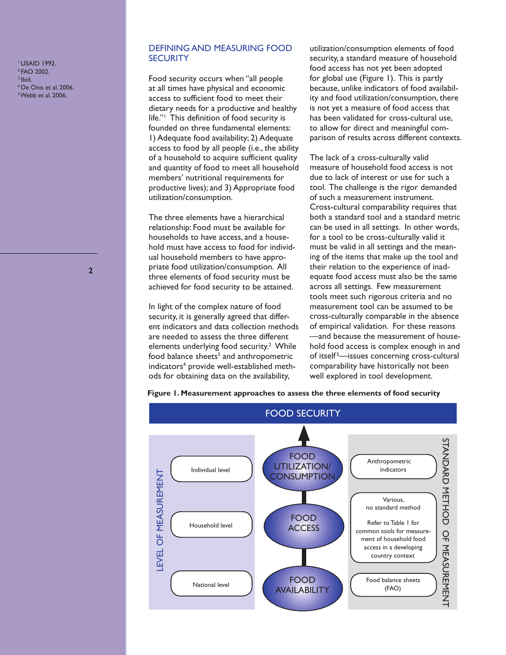1 USAID 1992. 2 FAO 2002.  $3$  Ibid. 4 De Onis et al. 2006. 5 Webb et al. 2006.

**2**

## DEFINING AND MEASURING FOOD **SECURITY**

Food security occurs when "all people at all times have physical and economic access to sufficient food to meet their dietary needs for a productive and healthy life."1 This definition of food security is founded on three fundamental elements: 1) Adequate food availability; 2) Adequate access to food by all people (i.e., the ability of a household to acquire sufficient quality and quantity of food to meet all household members' nutritional requirements for productive lives); and 3) Appropriate food utilization/consumption.

The three elements have a hierarchical relationship: Food must be available for households to have access, and a household must have access to food for individual household members to have appropriate food utilization/consumption. All three elements of food security must be achieved for food security to be attained.

In light of the complex nature of food security, it is generally agreed that different indicators and data collection methods are needed to assess the three different elements underlying food security.<sup>2</sup> While food balance sheets<sup>3</sup> and anthropometric indicators<sup>4</sup> provide well-established methods for obtaining data on the availability,

utilization/consumption elements of food security, a standard measure of household food access has not yet been adopted for global use (Figure 1). This is partly because, unlike indicators of food availability and food utilization/consumption, there is not yet a measure of food access that has been validated for cross-cultural use, to allow for direct and meaningful comparison of results across different contexts.

The lack of a cross-culturally valid measure of household food access is not due to lack of interest or use for such a tool. The challenge is the rigor demanded of such a measurement instrument. Cross-cultural comparability requires that both a standard tool and a standard metric can be used in all settings. In other words, for a tool to be cross-culturally valid it must be valid in all settings and the meaning of the items that make up the tool and their relation to the experience of inadequate food access must also be the same across all settings. Few measurement tools meet such rigorous criteria and no measurement tool can be assumed to be cross-culturally comparable in the absence of empirical validation. For these reasons —and because the measurement of household food access is complex enough in and of itself<sup>5</sup>—issues concerning cross-cultural comparability have historically not been well explored in tool development.



#### **Figure 1. Measurement approaches to assess the three elements of food security**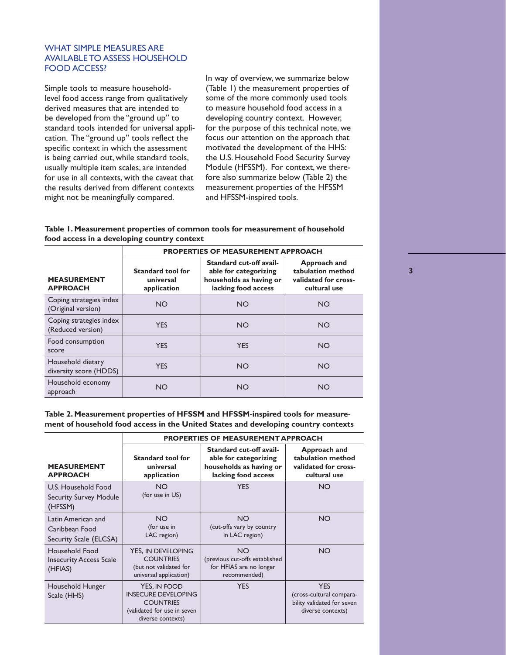## WHAT SIMPLE MEASURES ARE AVAILABLE TO ASSESS HOUSEHOLD FOOD ACCESS?

Simple tools to measure householdlevel food access range from qualitatively derived measures that are intended to be developed from the "ground up" to standard tools intended for universal application. The "ground up" tools reflect the specific context in which the assessment is being carried out, while standard tools, usually multiple item scales, are intended for use in all contexts, with the caveat that the results derived from different contexts might not be meaningfully compared.

In way of overview, we summarize below (Table 1) the measurement properties of some of the more commonly used tools to measure household food access in a developing country context. However, for the purpose of this technical note, we focus our attention on the approach that motivated the development of the HHS: the U.S. Household Food Security Survey Module (HFSSM). For context, we therefore also summarize below (Table 2) the measurement properties of the HFSSM and HFSSM-inspired tools.

#### **Table 1. Measurement properties of common tools for measurement of household food access in a developing country context**

|                                               | <b>PROPERTIES OF MEASUREMENT APPROACH</b>            |                                                                                                    |                                                                           |  |
|-----------------------------------------------|------------------------------------------------------|----------------------------------------------------------------------------------------------------|---------------------------------------------------------------------------|--|
| <b>MEASUREMENT</b><br><b>APPROACH</b>         | <b>Standard tool for</b><br>universal<br>application | Standard cut-off avail-<br>able for categorizing<br>households as having or<br>lacking food access | Approach and<br>tabulation method<br>validated for cross-<br>cultural use |  |
| Coping strategies index<br>(Original version) | <b>NO</b>                                            | <b>NO</b>                                                                                          | <b>NO</b>                                                                 |  |
| Coping strategies index<br>(Reduced version)  | <b>YES</b>                                           | <b>NO</b>                                                                                          | <b>NO</b>                                                                 |  |
| Food consumption<br>score                     | <b>YES</b>                                           | <b>YES</b>                                                                                         | <b>NO</b>                                                                 |  |
| Household dietary<br>diversity score (HDDS)   | <b>YES</b>                                           | <b>NO</b>                                                                                          | <b>NO</b>                                                                 |  |
| Household economy<br>approach                 | <b>NO</b>                                            | <b>NO</b>                                                                                          | <b>NO</b>                                                                 |  |

**Table 2. Measurement properties of HFSSM and HFSSM-inspired tools for measurement of household food access in the United States and developing country contexts**

|                                                                 | <b>PROPERTIES OF MEASUREMENT APPROACH</b>                                                                          |                                                                                                    |                                                                                           |  |
|-----------------------------------------------------------------|--------------------------------------------------------------------------------------------------------------------|----------------------------------------------------------------------------------------------------|-------------------------------------------------------------------------------------------|--|
| <b>MEASUREMENT</b><br><b>APPROACH</b>                           | <b>Standard tool for</b><br>universal<br>application                                                               | Standard cut-off avail-<br>able for categorizing<br>households as having or<br>lacking food access | Approach and<br>tabulation method<br>validated for cross-<br>cultural use                 |  |
| U.S. Household Food<br><b>Security Survey Module</b><br>(HFSSM) | <b>NO</b><br>(for use in US)                                                                                       | <b>YES</b>                                                                                         | <b>NO</b>                                                                                 |  |
| Latin American and<br>Caribbean Food<br>Security Scale (ELCSA)  | <b>NO</b><br>(for use in<br>LAC region)                                                                            | <b>NO</b><br>(cut-offs vary by country<br>in LAC region)                                           | <b>NO</b>                                                                                 |  |
| Household Food<br><b>Insecurity Access Scale</b><br>(HFIAS)     | YES. IN DEVELOPING<br><b>COUNTRIES</b><br>(but not validated for<br>universal application)                         | <b>NO</b><br>(previous cut-offs established<br>for HFIAS are no longer<br>recommended)             | <b>NO</b>                                                                                 |  |
| Household Hunger<br>Scale (HHS)                                 | YES, IN FOOD<br><b>INSECURE DEVELOPING</b><br><b>COUNTRIES</b><br>(validated for use in seven<br>diverse contexts) | <b>YES</b>                                                                                         | <b>YES</b><br>(cross-cultural compara-<br>bility validated for seven<br>diverse contexts) |  |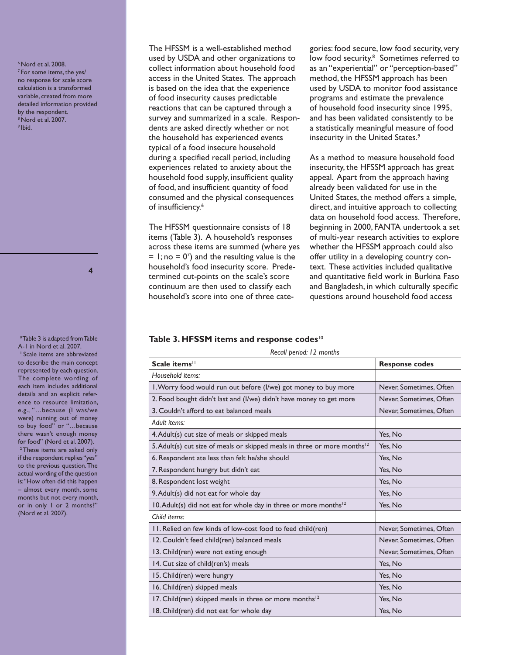6 Nord et al. 2008. 7 For some items, the yes/ no response for scale score calculation is a transformed variable, created from more detailed information provided by the respondent. 8 Nord et al. 2007. 9 Ibid.

**4**

<sup>10</sup> Table 3 is adapted from Table A-1 in Nord et al. 2007. <sup>11</sup> Scale items are abbreviated to describe the main concept represented by each question. The complete wording of each item includes additional details and an explicit reference to resource limitation, e.g., "…because (I was/we were) running out of money to buy food" or "…because there wasn't enough money for food" (Nord et al. 2007). <sup>12</sup> These items are asked only if the respondent replies "yes" to the previous question. The actual wording of the question is: "How often did this happen – almost every month, some months but not every month, or in only 1 or 2 months?" (Nord et al. 2007).

The HFSSM is a well-established method used by USDA and other organizations to collect information about household food access in the United States. The approach is based on the idea that the experience of food insecurity causes predictable reactions that can be captured through a survey and summarized in a scale. Respondents are asked directly whether or not the household has experienced events typical of a food insecure household during a specified recall period, including experiences related to anxiety about the household food supply, insufficient quality of food, and insufficient quantity of food consumed and the physical consequences of insufficiency.<sup>6</sup>

The HFSSM questionnaire consists of 18 items (Table 3). A household's responses across these items are summed (where yes  $= 1$ ; no  $= 0<sup>7</sup>$  and the resulting value is the household's food insecurity score. Predetermined cut-points on the scale's score continuum are then used to classify each household's score into one of three categories: food secure, low food security, very low food security.<sup>8</sup> Sometimes referred to as an "experiential" or "perception-based" method, the HFSSM approach has been used by USDA to monitor food assistance programs and estimate the prevalence of household food insecurity since 1995, and has been validated consistently to be a statistically meaningful measure of food insecurity in the United States.<sup>9</sup>

As a method to measure household food insecurity, the HFSSM approach has great appeal. Apart from the approach having already been validated for use in the United States, the method offers a simple, direct, and intuitive approach to collecting data on household food access. Therefore, beginning in 2000, FANTA undertook a set of multi-year research activities to explore whether the HFSSM approach could also offer utility in a developing country context. These activities included qualitative and quantitative field work in Burkina Faso and Bangladesh, in which culturally specific questions around household food access

#### Table 3. HFSSM items and response codes<sup>10</sup>

| Scale items <sup>11</sup>                                                            | <b>Response codes</b>   |  |
|--------------------------------------------------------------------------------------|-------------------------|--|
| Household items:                                                                     |                         |  |
| I. Worry food would run out before (I/we) got money to buy more                      | Never, Sometimes, Often |  |
| 2. Food bought didn't last and (I/we) didn't have money to get more                  | Never, Sometimes, Often |  |
| 3. Couldn't afford to eat balanced meals                                             | Never, Sometimes, Often |  |
| Adult items:                                                                         |                         |  |
| 4. Adult(s) cut size of meals or skipped meals                                       | Yes, No                 |  |
| 5. Adult(s) cut size of meals or skipped meals in three or more months <sup>12</sup> | Yes, No                 |  |
| 6. Respondent ate less than felt he/she should                                       | Yes, No                 |  |
| 7. Respondent hungry but didn't eat                                                  | Yes, No                 |  |
| 8. Respondent lost weight                                                            | Yes, No                 |  |
| 9. Adult(s) did not eat for whole day                                                | Yes, No                 |  |
| 10. Adult(s) did not eat for whole day in three or more months <sup>12</sup>         | Yes, No                 |  |
| Child items:                                                                         |                         |  |
| II. Relied on few kinds of low-cost food to feed child(ren)                          | Never, Sometimes, Often |  |
| 12. Couldn't feed child(ren) balanced meals                                          | Never, Sometimes, Often |  |
| 13. Child(ren) were not eating enough                                                | Never, Sometimes, Often |  |
| 14. Cut size of child(ren's) meals                                                   | Yes, No                 |  |
| 15. Child(ren) were hungry                                                           | Yes, No                 |  |
| 16. Child(ren) skipped meals                                                         | Yes, No                 |  |
| 17. Child(ren) skipped meals in three or more months <sup>12</sup>                   | Yes, No                 |  |
| 18. Child(ren) did not eat for whole day                                             | Yes, No                 |  |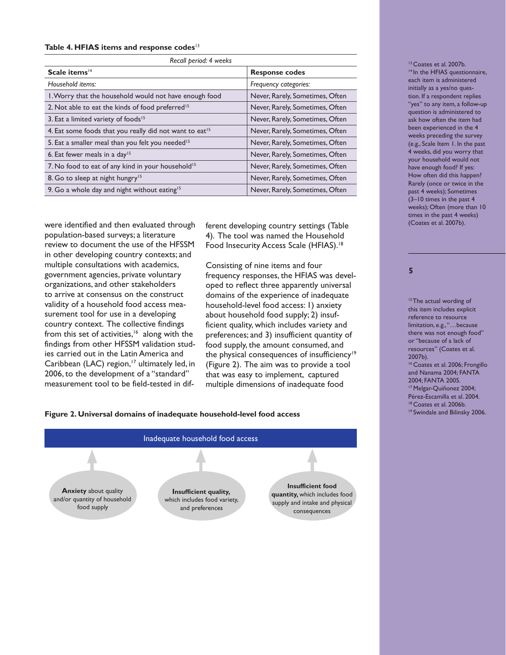#### **Table 4. HFIAS items and response codes**<sup>13</sup>

| Recall period: 4 weeks                                              |                                 |  |  |  |  |
|---------------------------------------------------------------------|---------------------------------|--|--|--|--|
| Scale items <sup>14</sup>                                           | <b>Response codes</b>           |  |  |  |  |
| Household items:                                                    | Frequency categories:           |  |  |  |  |
| I. Worry that the household would not have enough food              | Never, Rarely, Sometimes, Often |  |  |  |  |
| 2. Not able to eat the kinds of food preferred <sup>15</sup>        | Never, Rarely, Sometimes, Often |  |  |  |  |
| 3. Eat a limited variety of foods <sup>15</sup>                     | Never, Rarely, Sometimes, Often |  |  |  |  |
| 4. Eat some foods that you really did not want to eat <sup>15</sup> | Never, Rarely, Sometimes, Often |  |  |  |  |
| 5. Eat a smaller meal than you felt you needed <sup>15</sup>        | Never, Rarely, Sometimes, Often |  |  |  |  |
| 6. Eat fewer meals in a day <sup>15</sup>                           | Never, Rarely, Sometimes, Often |  |  |  |  |
| 7. No food to eat of any kind in your household <sup>15</sup>       | Never, Rarely, Sometimes, Often |  |  |  |  |
| 8. Go to sleep at night hungry <sup>15</sup>                        | Never, Rarely, Sometimes, Often |  |  |  |  |
| 9. Go a whole day and night without eating <sup>15</sup>            | Never, Rarely, Sometimes, Often |  |  |  |  |

were identified and then evaluated through population-based surveys; a literature review to document the use of the HFSSM in other developing country contexts; and multiple consultations with academics, government agencies, private voluntary organizations, and other stakeholders to arrive at consensus on the construct validity of a household food access measurement tool for use in a developing country context. The collective findings from this set of activities,<sup>16</sup> along with the findings from other HFSSM validation studies carried out in the Latin America and Caribbean (LAC) region,<sup>17</sup> ultimately led, in 2006, to the development of a "standard" measurement tool to be field-tested in different developing country settings (Table 4). The tool was named the Household Food Insecurity Access Scale (HFIAS).<sup>18</sup>

Consisting of nine items and four frequency responses, the HFIAS was developed to reflect three apparently universal domains of the experience of inadequate household-level food access: 1) anxiety about household food supply; 2) insufficient quality, which includes variety and preferences; and 3) insufficient quantity of food supply, the amount consumed, and the physical consequences of insufficiency<sup>19</sup> (Figure 2). The aim was to provide a tool that was easy to implement, captured multiple dimensions of inadequate food

### Figure 2. Universal domains of inadequate household-level food access



#### <sup>13</sup> Coates et al. 2007b. <sup>14</sup> In the HFIAS questionnaire, each item is administered initially as a yes/no question. If a respondent replies "yes" to any item, a follow-up question is administered to ask how often the item had been experienced in the 4 weeks preceding the survey (e.g., Scale Item 1. In the past 4 weeks, did you worry that your household would not have enough food? If yes: How often did this happen? Rarely (once or twice in the past 4 weeks); Sometimes (3–10 times in the past 4 weeks); Often (more than 10 times in the past 4 weeks) (Coates et al. 2007b).

#### **5**

<sup>15</sup> The actual wording of this item includes explicit reference to resource limitation, e.g., "... because there was not enough food" or "because of a lack of resources" (Coates et al. 2007b). <sup>16</sup> Coates et al. 2006; Frongillo and Nanama 2004; FANTA 2004; FANTA 2005. 17 Melgar-Quiñonez 2004; Pérez-Escamilla et al. 2004. <sup>18</sup> Coates et al. 2006b.<br><sup>19</sup> Swindale and Bilinsky 2006.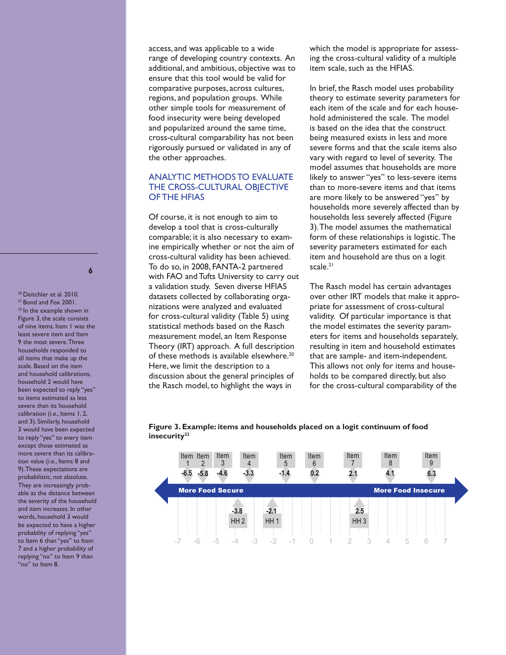access, and was applicable to a wide range of developing country contexts. An additional, and ambitious, objective was to ensure that this tool would be valid for comparative purposes, across cultures, regions, and population groups. While other simple tools for measurement of food insecurity were being developed and popularized around the same time, cross-cultural comparability has not been rigorously pursued or validated in any of the other approaches.

## ANALYTIC METHODS TO EVALUATE THE CROSS-CULTURAL OBJECTIVE OF THE HFIAS

Of course, it is not enough to aim to develop a tool that is cross-culturally comparable; it is also necessary to examine empirically whether or not the aim of cross-cultural validity has been achieved. To do so, in 2008, FANTA-2 partnered with FAO and Tufts University to carry out a validation study. Seven diverse HFIAS datasets collected by collaborating organizations were analyzed and evaluated for cross-cultural validity (Table 5) using statistical methods based on the Rasch measurement model, an Item Response Theory (IRT) approach. A full description of these methods is available elsewhere.<sup>20</sup> Here, we limit the description to a discussion about the general principles of the Rasch model, to highlight the ways in

which the model is appropriate for assessing the cross-cultural validity of a multiple item scale, such as the HFIAS.

In brief, the Rasch model uses probability theory to estimate severity parameters for each item of the scale and for each household administered the scale. The model is based on the idea that the construct being measured exists in less and more severe forms and that the scale items also vary with regard to level of severity. The model assumes that households are more likely to answer "yes" to less-severe items than to more-severe items and that items are more likely to be answered "yes" by households more severely affected than by households less severely affected (Figure 3). The model assumes the mathematical form of these relationships is logistic. The severity parameters estimated for each item and household are thus on a logit scale.<sup>21</sup>

The Rasch model has certain advantages over other IRT models that make it appropriate for assessment of cross-cultural validity. Of particular importance is that the model estimates the severity parameters for items and households separately, resulting in item and household estimates that are sample- and item-independent. This allows not only for items and households to be compared directly, but also for the cross-cultural comparability of the



#### **Figure 3. Example: items and households placed on a logit continuum of food insecurity22**

**6**

<sup>20</sup> Deitchler et al. 2010. <sup>21</sup> Bond and Fox 2001. <sup>22</sup> In the example shown in Figure 3, the scale consists of nine items. Item 1 was the least severe item and Item 9 the most severe. Three households responded to all items that make up the scale. Based on the item and household calibrations, household 2 would have been expected to reply "yes" to items estimated as less severe than its household calibration (i.e., Items 1, 2, and 3). Similarly, household 3 would have been expected to reply "yes" to every item except those estimated as more severe than its calibration value (i.e., Items 8 and 9). These expectations are probabilistic, not absolute. They are increasingly probable as the distance between the severity of the household and item increases. In other words, household 3 would be expected to have a higher probability of replying "yes" to Item 6 than "yes" to Item 7 and a higher probability of replying "no" to Item 9 than "no" to Item 8.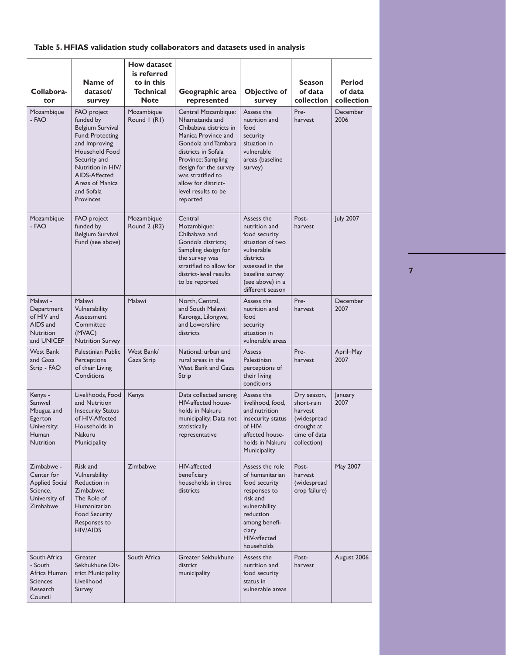## **Table 5. HFIAS validation study collaborators and datasets used in analysis**

| Collabora-<br>tor                                                                          | Name of<br>dataset/<br>survey                                                                                                                                                                                                | <b>How dataset</b><br>is referred<br>to in this<br>Technical<br><b>Note</b> | Geographic area<br>represented                                                                                                                                                                                                                                     | <b>Objective of</b><br>survey                                                                                                                                             | <b>Season</b><br>of data<br>collection                                                           | Period<br>of data<br>collection |
|--------------------------------------------------------------------------------------------|------------------------------------------------------------------------------------------------------------------------------------------------------------------------------------------------------------------------------|-----------------------------------------------------------------------------|--------------------------------------------------------------------------------------------------------------------------------------------------------------------------------------------------------------------------------------------------------------------|---------------------------------------------------------------------------------------------------------------------------------------------------------------------------|--------------------------------------------------------------------------------------------------|---------------------------------|
| Mozambique<br>- FAO                                                                        | <b>FAO</b> project<br>funded by<br>Belgium Survival<br><b>Fund: Protecting</b><br>and Improving<br>Household Food<br>Security and<br>Nutrition in HIV/<br>AIDS-Affected<br>Areas of Manica<br>and Sofala<br><b>Provinces</b> | Mozambique<br>Round I (RI)                                                  | Central Mozambique:<br>Nhamatanda and<br>Chibabava districts in<br>Manica Province and<br>Gondola and Tambara<br>districts in Sofala<br>Province; Sampling<br>design for the survey<br>was stratified to<br>allow for district-<br>level results to be<br>reported | Assess the<br>nutrition and<br>food<br>security<br>situation in<br>vulnerable<br>areas (baseline<br>survey)                                                               | Pre-<br>harvest                                                                                  | December<br>2006                |
| Mozambique<br>- FAO                                                                        | FAO project<br>funded by<br>Belgium Survival<br>Fund (see above)                                                                                                                                                             | Mozambique<br>Round 2 (R2)                                                  | Central<br>Mozambique:<br>Chibabaya and<br>Gondola districts:<br>Sampling design for<br>the survey was<br>stratified to allow for<br>district-level results<br>to be reported                                                                                      | Assess the<br>nutrition and<br>food security<br>situation of two<br>vulnerable<br>districts<br>assessed in the<br>baseline survey<br>(see above) in a<br>different season | Post-<br>harvest                                                                                 | <b>July 2007</b>                |
| Malawi -<br>Department<br>of HIV and<br>AIDS and<br>Nutrition<br>and UNICEF                | Malawi<br>Vulnerability<br>Assessment<br>Committee<br>(MVAC)<br><b>Nutrition Survey</b>                                                                                                                                      | Malawi                                                                      | North, Central,<br>and South Malawi:<br>Karonga, Lilongwe,<br>and Lowershire<br>districts                                                                                                                                                                          | Assess the<br>nutrition and<br>food<br>security<br>situation in<br>vulnerable areas                                                                                       | Pre-<br>harvest                                                                                  | December<br>2007                |
| <b>West Bank</b><br>and Gaza<br>Strip - FAO                                                | Palestinian Public<br>Perceptions<br>of their Living<br>Conditions                                                                                                                                                           | West Bank/<br>Gaza Strip                                                    | National: urban and<br>rural areas in the<br><b>West Bank and Gaza</b><br>Strip                                                                                                                                                                                    | Assess<br>Palestinian<br>perceptions of<br>their living<br>conditions                                                                                                     | Pre-<br>harvest                                                                                  | April-May<br>2007               |
| Kenya -<br>Samwel<br>Mbugua and<br>Egerton<br>University:<br>Human<br>Nutrition            | Livelihoods, Food<br>and Nutrition<br><b>Insecurity Status</b><br>of HIV-Affected<br>Households in<br>Nakuru<br><b>Municipality</b>                                                                                          | Kenya                                                                       | Data collected among<br>HIV-affected house-<br>holds in Nakuru<br>municipality; Data not<br>statistically<br>representative                                                                                                                                        | Assess the<br>livelihood, food,<br>and nutrition<br>insecurity status<br>of HIV-<br>affected house-<br>holds in Nakuru<br><b>Municipality</b>                             | Dry season,<br>short-rain<br>harvest<br>(widespread<br>drought at<br>time of data<br>collection) | January<br>2007                 |
| Zimbabwe -<br>Center for<br><b>Applied Social</b><br>Science,<br>University of<br>Zimbabwe | Risk and<br>Vulnerability<br>Reduction in<br>Zimbabwe:<br>The Role of<br>Humanitarian<br><b>Food Security</b><br>Responses to<br><b>HIV/AIDS</b>                                                                             | Zimbabwe                                                                    | HIV-affected<br>beneficiary<br>households in three<br>districts                                                                                                                                                                                                    | Assess the role<br>of humanitarian<br>food security<br>responses to<br>risk and<br>vulnerability<br>reduction<br>among benefi-<br>ciary<br>HIV-affected<br>households     | Post-<br>harvest<br>(widespread<br>crop failure)                                                 | May 2007                        |
| South Africa<br>- South<br>Africa Human<br><b>Sciences</b><br>Research<br>Council          | Greater<br>Sekhukhune Dis-<br>trict Municipality<br>Livelihood<br>Survey                                                                                                                                                     | South Africa                                                                | Greater Sekhukhune<br>district<br>municipality                                                                                                                                                                                                                     | Assess the<br>nutrition and<br>food security<br>status in<br>vulnerable areas                                                                                             | Post-<br>harvest                                                                                 | August 2006                     |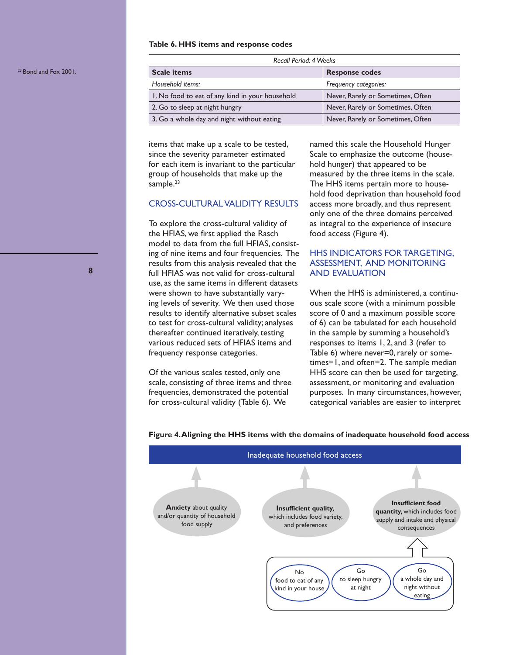#### **Table 6. HHS items and response codes**

| Recall Period: 4 Weeks                          |                                   |  |  |
|-------------------------------------------------|-----------------------------------|--|--|
| <b>Scale items</b>                              | <b>Response codes</b>             |  |  |
| Household items:                                | Frequency categories:             |  |  |
| 1. No food to eat of any kind in your household | Never, Rarely or Sometimes, Often |  |  |
| 2. Go to sleep at night hungry                  | Never, Rarely or Sometimes, Often |  |  |
| 3. Go a whole day and night without eating      | Never, Rarely or Sometimes, Often |  |  |

items that make up a scale to be tested, since the severity parameter estimated for each item is invariant to the particular group of households that make up the sample.<sup>23</sup>

#### CROSS-CULTURAL VALIDITY RESULTS

To explore the cross-cultural validity of the HFIAS, we first applied the Rasch model to data from the full HFIAS, consisting of nine items and four frequencies. The results from this analysis revealed that the full HFIAS was not valid for cross-cultural use, as the same items in different datasets were shown to have substantially varying levels of severity. We then used those results to identify alternative subset scales to test for cross-cultural validity; analyses thereafter continued iteratively, testing various reduced sets of HFIAS items and frequency response categories.

Of the various scales tested, only one scale, consisting of three items and three frequencies, demonstrated the potential for cross-cultural validity (Table 6). We

named this scale the Household Hunger Scale to emphasize the outcome (household hunger) that appeared to be measured by the three items in the scale. The HHS items pertain more to household food deprivation than household food access more broadly, and thus represent only one of the three domains perceived as integral to the experience of insecure food access (Figure 4).

## HHS INDICATORS FOR TARGETING, ASSESSMENT, AND MONITORING AND EVALUATION

When the HHS is administered, a continuous scale score (with a minimum possible score of 0 and a maximum possible score of 6) can be tabulated for each household in the sample by summing a household's responses to items 1, 2, and 3 (refer to Table 6) where never=0, rarely or sometimes=1, and often=2. The sample median HHS score can then be used for targeting, assessment, or monitoring and evaluation purposes. In many circumstances, however, categorical variables are easier to interpret



#### **Figure 4. Aligning the HHS items with the domains of inadequate household food access**

23 Bond and Fox 2001.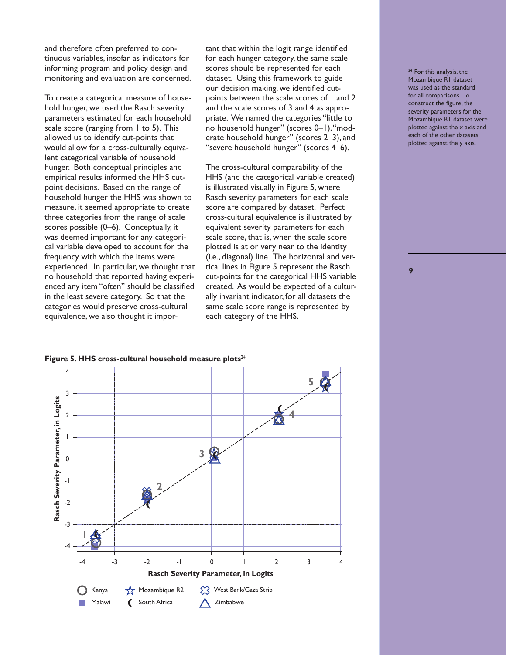and therefore often preferred to continuous variables, insofar as indicators for informing program and policy design and monitoring and evaluation are concerned.

To create a categorical measure of household hunger, we used the Rasch severity parameters estimated for each household scale score (ranging from 1 to 5). This allowed us to identify cut-points that would allow for a cross-culturally equivalent categorical variable of household hunger. Both conceptual principles and empirical results informed the HHS cutpoint decisions. Based on the range of household hunger the HHS was shown to measure, it seemed appropriate to create three categories from the range of scale scores possible (0–6). Conceptually, it was deemed important for any categorical variable developed to account for the frequency with which the items were experienced. In particular, we thought that no household that reported having experienced any item "often" should be classified in the least severe category. So that the categories would preserve cross-cultural equivalence, we also thought it important that within the logit range identified for each hunger category, the same scale scores should be represented for each dataset. Using this framework to guide our decision making, we identified cutpoints between the scale scores of 1 and 2 and the scale scores of 3 and 4 as appropriate. We named the categories "little to no household hunger" (scores 0–1), "moderate household hunger" (scores 2–3), and "severe household hunger" (scores 4–6).

The cross-cultural comparability of the HHS (and the categorical variable created) is illustrated visually in Figure 5, where Rasch severity parameters for each scale score are compared by dataset. Perfect cross-cultural equivalence is illustrated by equivalent severity parameters for each scale score, that is, when the scale score plotted is at or very near to the identity (i.e., diagonal) line. The horizontal and vertical lines in Figure 5 represent the Rasch cut-points for the categorical HHS variable created. As would be expected of a culturally invariant indicator, for all datasets the same scale score range is represented by each category of the HHS.





<sup>24</sup> For this analysis, the Mozambique R1 dataset was used as the standard for all comparisons. To construct the figure, the severity parameters for the Mozambique R1 dataset were plotted against the x axis and each of the other datasets plotted against the y axis.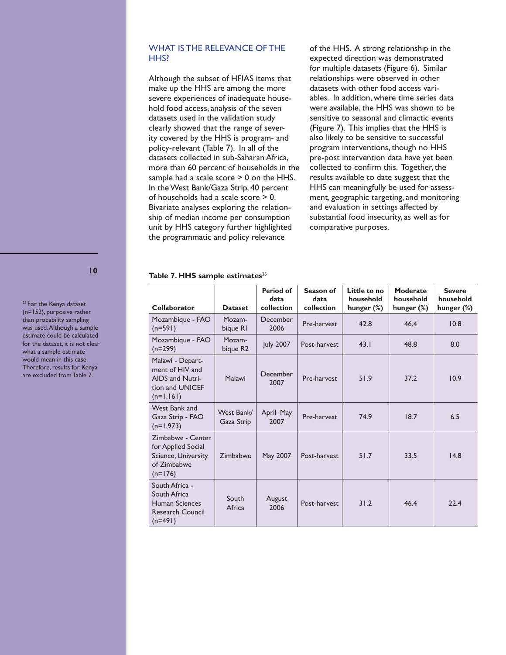## WHAT IS THE RELEVANCE OF THE HH<sub>S</sub>?

Although the subset of HFIAS items that make up the HHS are among the more severe experiences of inadequate household food access, analysis of the seven datasets used in the validation study clearly showed that the range of severity covered by the HHS is program- and policy-relevant (Table 7). In all of the datasets collected in sub-Saharan Africa, more than 60 percent of households in the sample had a scale score > 0 on the HHS. In the West Bank/Gaza Strip, 40 percent of households had a scale score > 0. Bivariate analyses exploring the relationship of median income per consumption unit by HHS category further highlighted the programmatic and policy relevance

of the HHS. A strong relationship in the expected direction was demonstrated for multiple datasets (Figure 6). Similar relationships were observed in other datasets with other food access variables. In addition, where time series data were available, the HHS was shown to be sensitive to seasonal and climactic events (Figure 7). This implies that the HHS is also likely to be sensitive to successful program interventions, though no HHS pre-post intervention data have yet been collected to confirm this. Together, the results available to date suggest that the HHS can meaningfully be used for assessment, geographic targeting, and monitoring and evaluation in settings affected by substantial food insecurity, as well as for comparative purposes.

#### Table 7. HHS sample estimates<sup>25</sup>

| Collaborator                                                                               | <b>Dataset</b>           | Period of<br>data<br>collection | Season of<br>data<br>collection | Little to no<br>household<br>hunger $(\%)$ | Moderate<br>household<br>hunger $(\%)$ | <b>Severe</b><br>household<br>hunger (%) |
|--------------------------------------------------------------------------------------------|--------------------------|---------------------------------|---------------------------------|--------------------------------------------|----------------------------------------|------------------------------------------|
| Mozambique - FAO<br>$(n=591)$                                                              | Mozam-<br>bique RI       | December<br>2006                | Pre-harvest                     | 42.8                                       | 46.4                                   | 10.8                                     |
| Mozambique - FAO<br>$(n=299)$                                                              | Mozam-<br>bique R2       | <b>July 2007</b>                | Post-harvest                    | 43.1                                       | 48.8                                   | 8.0                                      |
| Malawi - Depart-<br>ment of HIV and<br>AIDS and Nutri-<br>tion and UNICEF<br>$(n=1,161)$   | Malawi                   | December<br>2007                | Pre-harvest                     | 51.9                                       | 37.2                                   | 10.9                                     |
| West Bank and<br>Gaza Strip - FAO<br>$(n=1,973)$                                           | West Bank/<br>Gaza Strip | April-May<br>2007               | Pre-harvest                     | 74.9                                       | 18.7                                   | 6.5                                      |
| Zimbabwe - Center<br>for Applied Social<br>Science, University<br>of Zimbabwe<br>$(n=176)$ | Zimbabwe                 | May 2007                        | Post-harvest                    | 51.7                                       | 33.5                                   | 14.8                                     |
| South Africa -<br>South Africa<br>Human Sciences<br>Research Council<br>$(n=491)$          | South<br>Africa          | August<br>2006                  | Post-harvest                    | 31.2                                       | 46.4                                   | 22.4                                     |

**10**

<sup>25</sup> For the Kenya dataset (n=152), purposive rather than probability sampling was used. Although a sample estimate could be calculated for the dataset, it is not clear what a sample estimate would mean in this case. Therefore, results for Kenya are excluded from Table 7.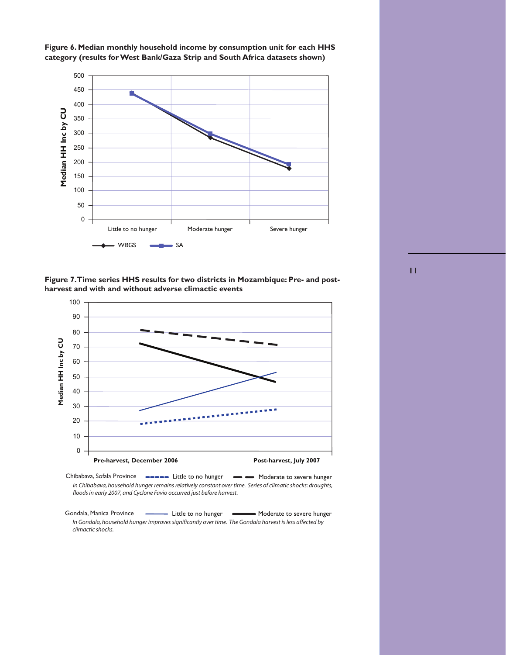



**Figure 7. Time series HHS results for two districts in Mozambique: Pre- and postharvest and with and without adverse climactic events**



Chibabava, Sofala Province **Cooooo** Little to no hunger **Coooo** Moderate to severe hunger *In Chibabava, household hunger remains relatively constant over time. Series of climatic shocks: droughts, floods in early 2007, and Cyclone Favio occurred just before harvest.*

Gondala, Manica Province **Little to no hunger** Moderate to severe hunger *In Gondala, household hunger improves significantly over time. The Gondala harvest is less affected by climactic shocks.*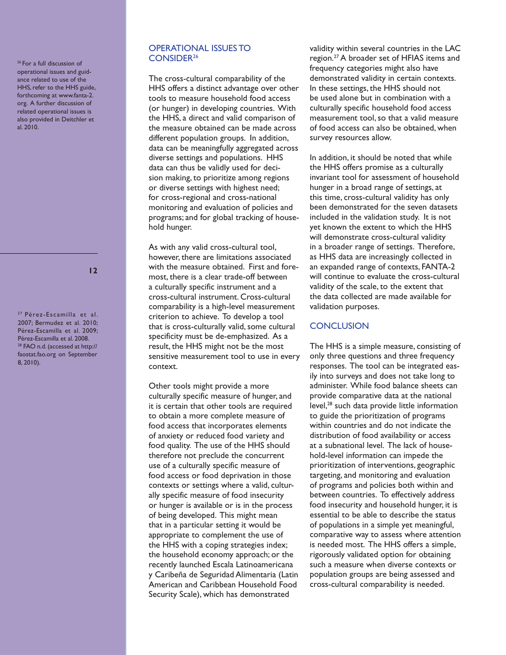26 For a full discussion of operational issues and guidance related to use of the HHS, refer to the HHS guide, forthcoming at www.fanta-2. org. A further discussion of related operational issues is also provided in Deitchler et al. 2010.

**12**

27 Pérez-Escamilla et al. 2007; Bermudez et al. 2010; Pérez-Escamilla et al. 2009; Pérez-Escamilla et al. 2008. 28 FAO n.d. (accessed at http:// faostat.fao.org on September 8, 2010).

## OPERATIONAL ISSUES TO CONSIDER26

The cross-cultural comparability of the HHS offers a distinct advantage over other tools to measure household food access (or hunger) in developing countries. With the HHS, a direct and valid comparison of the measure obtained can be made across different population groups. In addition, data can be meaningfully aggregated across diverse settings and populations. HHS data can thus be validly used for decision making, to prioritize among regions or diverse settings with highest need; for cross-regional and cross-national monitoring and evaluation of policies and programs; and for global tracking of household hunger.

As with any valid cross-cultural tool, however, there are limitations associated with the measure obtained. First and foremost, there is a clear trade-off between a culturally specific instrument and a cross-cultural instrument. Cross-cultural comparability is a high-level measurement criterion to achieve. To develop a tool that is cross-culturally valid, some cultural specificity must be de-emphasized. As a result, the HHS might not be the most sensitive measurement tool to use in every context.

Other tools might provide a more culturally specific measure of hunger, and it is certain that other tools are required to obtain a more complete measure of food access that incorporates elements of anxiety or reduced food variety and food quality. The use of the HHS should therefore not preclude the concurrent use of a culturally specific measure of food access or food deprivation in those contexts or settings where a valid, culturally specific measure of food insecurity or hunger is available or is in the process of being developed. This might mean that in a particular setting it would be appropriate to complement the use of the HHS with a coping strategies index; the household economy approach; or the recently launched Escala Latinoamericana y Caribeña de Seguridad Alimentaria (Latin American and Caribbean Household Food Security Scale), which has demonstrated

validity within several countries in the LAC region.27 A broader set of HFIAS items and frequency categories might also have demonstrated validity in certain contexts. In these settings, the HHS should not be used alone but in combination with a culturally specific household food access measurement tool, so that a valid measure of food access can also be obtained, when survey resources allow.

In addition, it should be noted that while the HHS offers promise as a culturally invariant tool for assessment of household hunger in a broad range of settings, at this time, cross-cultural validity has only been demonstrated for the seven datasets included in the validation study. It is not yet known the extent to which the HHS will demonstrate cross-cultural validity in a broader range of settings. Therefore, as HHS data are increasingly collected in an expanded range of contexts, FANTA-2 will continue to evaluate the cross-cultural validity of the scale, to the extent that the data collected are made available for validation purposes.

## **CONCLUSION**

The HHS is a simple measure, consisting of only three questions and three frequency responses. The tool can be integrated easily into surveys and does not take long to administer. While food balance sheets can provide comparative data at the national level,<sup>28</sup> such data provide little information to guide the prioritization of programs within countries and do not indicate the distribution of food availability or access at a subnational level. The lack of household-level information can impede the prioritization of interventions, geographic targeting, and monitoring and evaluation of programs and policies both within and between countries. To effectively address food insecurity and household hunger, it is essential to be able to describe the status of populations in a simple yet meaningful, comparative way to assess where attention is needed most. The HHS offers a simple, rigorously validated option for obtaining such a measure when diverse contexts or population groups are being assessed and cross-cultural comparability is needed.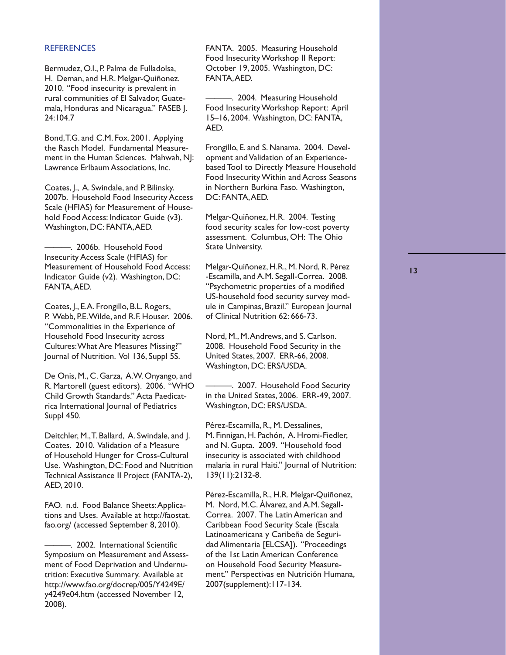#### **REFERENCES**

Bermudez, O.I., P. Palma de Fulladolsa, H. Deman, and H.R. Melgar-Quiñonez. 2010. "Food insecurity is prevalent in rural communities of El Salvador, Guatemala, Honduras and Nicaragua." FASEB J. 24:104.7

Bond, T.G. and C.M. Fox. 2001. Applying the Rasch Model. Fundamental Measurement in the Human Sciences. Mahwah, NJ: Lawrence Erlbaum Associations, Inc.

Coates, J., A. Swindale, and P. Bilinsky. 2007b. Household Food Insecurity Access Scale (HFIAS) for Measurement of Household Food Access: Indicator Guide (v3). Washington, DC: FANTA, AED.

———. 2006b. Household Food Insecurity Access Scale (HFIAS) for Measurement of Household Food Access: Indicator Guide (v2). Washington, DC: FANTA, AED.

Coates, J., E.A. Frongillo, B.L. Rogers, P. Webb, P.E. Wilde, and R.F. Houser. 2006. "Commonalities in the Experience of Household Food Insecurity across Cultures: What Are Measures Missing?" Journal of Nutrition. Vol 136, Suppl 5S.

De Onis, M., C. Garza, A.W. Onyango, and R. Martorell (guest editors). 2006. "WHO Child Growth Standards." Acta Paedicatrica International Journal of Pediatrics Suppl 450.

Deitchler, M., T. Ballard, A. Swindale, and J. Coates. 2010. Validation of a Measure of Household Hunger for Cross-Cultural Use. Washington, DC: Food and Nutrition Technical Assistance II Project (FANTA-2), AED, 2010.

FAO. n.d. Food Balance Sheets: Applications and Uses. Available at http://faostat. fao.org/ (accessed September 8, 2010).

FANTA. 2005. Measuring Household Food Insecurity Workshop II Report: October 19, 2005. Washington, DC: FANTA, AED.

———. 2004. Measuring Household Food Insecurity Workshop Report: April 15–16, 2004. Washington, DC: FANTA, AED.

Frongillo, E. and S. Nanama. 2004. Development and Validation of an Experiencebased Tool to Directly Measure Household Food Insecurity Within and Across Seasons in Northern Burkina Faso. Washington, DC: FANTA, AED.

Melgar-Quiñonez, H.R. 2004. Testing food security scales for low-cost poverty assessment. Columbus, OH: The Ohio State University.

Melgar-Quiñonez, H.R., M. Nord, R. Pérez -Escamilla, and A.M. Segall-Correa. 2008. "Psychometric properties of a modified US-household food security survey module in Campinas, Brazil." European Journal of Clinical Nutrition 62: 666-73.

Nord, M., M. Andrews, and S. Carlson. 2008. Household Food Security in the United States, 2007. ERR-66, 2008. Washington, DC: ERS/USDA.

-. 2007. Household Food Security in the United States, 2006. ERR-49, 2007. Washington, DC: ERS/USDA.

Pérez-Escamilla, R., M. Dessalines, M. Finnigan, H. Pachón, A. Hromi-Fiedler, and N. Gupta. 2009. "Household food insecurity is associated with childhood malaria in rural Haiti." Journal of Nutrition: 139(11):2132-8.

Pérez-Escamilla, R., H.R. Melgar-Quiñonez, M. Nord, M.C. Álvarez, and A.M. Segall-Correa. 2007. The Latin American and Caribbean Food Security Scale (Escala Latinoamericana y Caribeña de Seguridad Alimentaria [ELCSA]). "Proceedings of the 1st Latin American Conference on Household Food Security Measurement." Perspectivas en Nutrición Humana, 2007(supplement):117-134.

<sup>———. 2002.</sup> International Scientific Symposium on Measurement and Assessment of Food Deprivation and Undernutrition: Executive Summary. Available at http://www.fao.org/docrep/005/Y4249E/ y4249e04.htm (accessed November 12, 2008).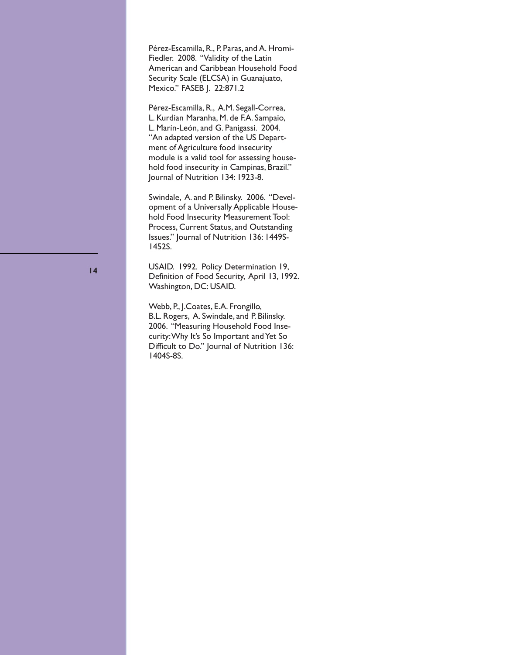Pérez-Escamilla, R., P. Paras, and A. Hromi-Fiedler. 2008. "Validity of the Latin American and Caribbean Household Food Security Scale (ELCSA) in Guanajuato, Mexico." FASEB J. 22:871.2

Pérez-Escamilla, R., A.M. Segall-Correa, L. Kurdian Maranha, M. de F.A. Sampaio, L. Marín-León, and G. Panigassi. 2004. "An adapted version of the US Department of Agriculture food insecurity module is a valid tool for assessing household food insecurity in Campinas, Brazil." Journal of Nutrition 134: 1923-8.

Swindale, A. and P. Bilinsky. 2006. "Development of a Universally Applicable Household Food Insecurity Measurement Tool: Process, Current Status, and Outstanding Issues." Journal of Nutrition 136: 1449S-1452S.

USAID. 1992. Policy Determination 19, Definition of Food Security, April 13, 1992. Washington, DC: USAID.

Webb, P., J.Coates, E.A. Frongillo, B.L. Rogers, A. Swindale, and P. Bilinsky. 2006. "Measuring Household Food Insecurity: Why It's So Important and Yet So Difficult to Do." Journal of Nutrition 136: 1404S-8S.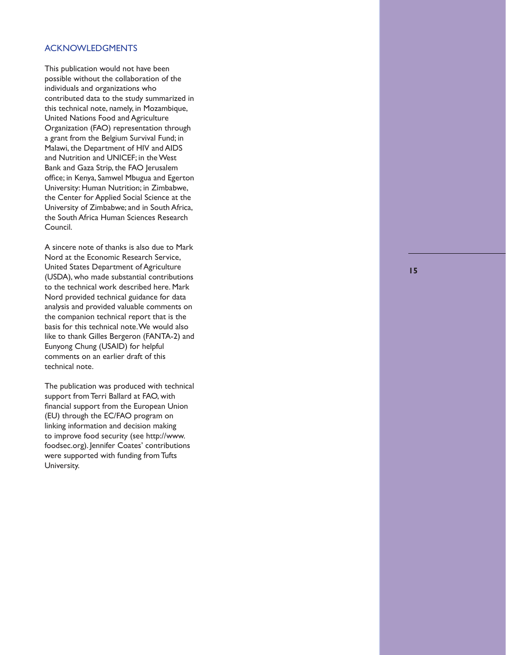## ACKNOWLEDGMENTS

This publication would not have been possible without the collaboration of the individuals and organizations who contributed data to the study summarized in this technical note, namely, in Mozambique, United Nations Food and Agriculture Organization (FAO) representation through a grant from the Belgium Survival Fund; in Malawi, the Department of HIV and AIDS and Nutrition and UNICEF; in the West Bank and Gaza Strip, the FAO Jerusalem office; in Kenya, Samwel Mbugua and Egerton University: Human Nutrition; in Zimbabwe, the Center for Applied Social Science at the University of Zimbabwe; and in South Africa, the South Africa Human Sciences Research Council.

A sincere note of thanks is also due to Mark Nord at the Economic Research Service, United States Department of Agriculture (USDA), who made substantial contributions to the technical work described here. Mark Nord provided technical guidance for data analysis and provided valuable comments on the companion technical report that is the basis for this technical note. We would also like to thank Gilles Bergeron (FANTA-2) and Eunyong Chung (USAID) for helpful comments on an earlier draft of this technical note.

The publication was produced with technical support from Terri Ballard at FAO, with financial support from the European Union (EU) through the EC/FAO program on linking information and decision making to improve food security (see http://www. foodsec.org). Jennifer Coates' contributions were supported with funding from Tufts University.